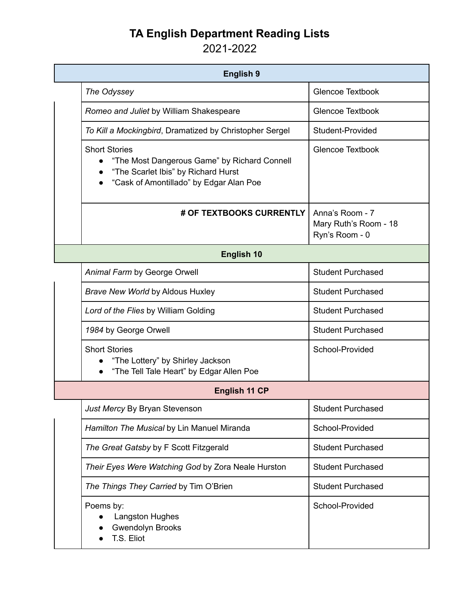## **TA English Department Reading Lists**

2021-2022

| <b>English 9</b>     |                                                                                                                                                        |                                                            |  |  |
|----------------------|--------------------------------------------------------------------------------------------------------------------------------------------------------|------------------------------------------------------------|--|--|
|                      | The Odyssey                                                                                                                                            | <b>Glencoe Textbook</b>                                    |  |  |
|                      | Romeo and Juliet by William Shakespeare                                                                                                                | <b>Glencoe Textbook</b>                                    |  |  |
|                      | To Kill a Mockingbird, Dramatized by Christopher Sergel                                                                                                | Student-Provided                                           |  |  |
|                      | <b>Short Stories</b><br>"The Most Dangerous Game" by Richard Connell<br>"The Scarlet Ibis" by Richard Hurst<br>"Cask of Amontillado" by Edgar Alan Poe | <b>Glencoe Textbook</b>                                    |  |  |
|                      | # OF TEXTBOOKS CURRENTLY                                                                                                                               | Anna's Room - 7<br>Mary Ruth's Room - 18<br>Ryn's Room - 0 |  |  |
| English 10           |                                                                                                                                                        |                                                            |  |  |
|                      | Animal Farm by George Orwell                                                                                                                           | <b>Student Purchased</b>                                   |  |  |
|                      | <b>Brave New World by Aldous Huxley</b>                                                                                                                | <b>Student Purchased</b>                                   |  |  |
|                      | Lord of the Flies by William Golding                                                                                                                   | <b>Student Purchased</b>                                   |  |  |
|                      | 1984 by George Orwell                                                                                                                                  | <b>Student Purchased</b>                                   |  |  |
|                      | <b>Short Stories</b><br>"The Lottery" by Shirley Jackson<br>"The Tell Tale Heart" by Edgar Allen Poe                                                   | School-Provided                                            |  |  |
| <b>English 11 CP</b> |                                                                                                                                                        |                                                            |  |  |
|                      | Just Mercy By Bryan Stevenson                                                                                                                          | <b>Student Purchased</b>                                   |  |  |
|                      | Hamilton The Musical by Lin Manuel Miranda                                                                                                             | School-Provided                                            |  |  |
|                      | The Great Gatsby by F Scott Fitzgerald                                                                                                                 | <b>Student Purchased</b>                                   |  |  |
|                      | Their Eyes Were Watching God by Zora Neale Hurston                                                                                                     | <b>Student Purchased</b>                                   |  |  |
|                      | The Things They Carried by Tim O'Brien                                                                                                                 | <b>Student Purchased</b>                                   |  |  |
|                      | Poems by:<br><b>Langston Hughes</b><br><b>Gwendolyn Brooks</b><br>T.S. Eliot                                                                           | School-Provided                                            |  |  |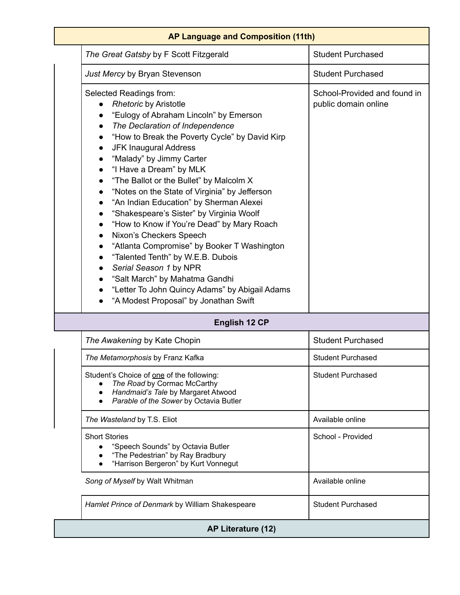| AP Language and Composition (11th)                                                                                                                                                                                                                                                                                                                                                                                                                                                                                                                                                                                                                                                                                                                                                                                                                                                                        |                                                      |  |  |  |
|-----------------------------------------------------------------------------------------------------------------------------------------------------------------------------------------------------------------------------------------------------------------------------------------------------------------------------------------------------------------------------------------------------------------------------------------------------------------------------------------------------------------------------------------------------------------------------------------------------------------------------------------------------------------------------------------------------------------------------------------------------------------------------------------------------------------------------------------------------------------------------------------------------------|------------------------------------------------------|--|--|--|
| The Great Gatsby by F Scott Fitzgerald                                                                                                                                                                                                                                                                                                                                                                                                                                                                                                                                                                                                                                                                                                                                                                                                                                                                    | <b>Student Purchased</b>                             |  |  |  |
| Just Mercy by Bryan Stevenson                                                                                                                                                                                                                                                                                                                                                                                                                                                                                                                                                                                                                                                                                                                                                                                                                                                                             | <b>Student Purchased</b>                             |  |  |  |
| Selected Readings from:<br><b>Rhetoric by Aristotle</b><br>"Eulogy of Abraham Lincoln" by Emerson<br>The Declaration of Independence<br>$\bullet$<br>"How to Break the Poverty Cycle" by David Kirp<br>$\bullet$<br><b>JFK Inaugural Address</b><br>"Malady" by Jimmy Carter<br>"I Have a Dream" by MLK<br>$\bullet$<br>"The Ballot or the Bullet" by Malcolm X<br>$\bullet$<br>"Notes on the State of Virginia" by Jefferson<br>$\bullet$<br>"An Indian Education" by Sherman Alexei<br>$\bullet$<br>"Shakespeare's Sister" by Virginia Woolf<br>"How to Know if You're Dead" by Mary Roach<br>$\bullet$<br>Nixon's Checkers Speech<br>$\bullet$<br>"Atlanta Compromise" by Booker T Washington<br>"Talented Tenth" by W.E.B. Dubois<br>Serial Season 1 by NPR<br>$\bullet$<br>"Salt March" by Mahatma Gandhi<br>"Letter To John Quincy Adams" by Abigail Adams<br>"A Modest Proposal" by Jonathan Swift | School-Provided and found in<br>public domain online |  |  |  |
| <b>English 12 CP</b>                                                                                                                                                                                                                                                                                                                                                                                                                                                                                                                                                                                                                                                                                                                                                                                                                                                                                      |                                                      |  |  |  |
| The Awakening by Kate Chopin                                                                                                                                                                                                                                                                                                                                                                                                                                                                                                                                                                                                                                                                                                                                                                                                                                                                              | <b>Student Purchased</b>                             |  |  |  |
| The Metamorphosis by Franz Kafka                                                                                                                                                                                                                                                                                                                                                                                                                                                                                                                                                                                                                                                                                                                                                                                                                                                                          | <b>Student Purchased</b>                             |  |  |  |
| Student's Choice of one of the following:<br>The Road by Cormac McCarthy<br>Handmaid's Tale by Margaret Atwood<br>$\bullet$<br>Parable of the Sower by Octavia Butler                                                                                                                                                                                                                                                                                                                                                                                                                                                                                                                                                                                                                                                                                                                                     | <b>Student Purchased</b>                             |  |  |  |
| The Wasteland by T.S. Eliot                                                                                                                                                                                                                                                                                                                                                                                                                                                                                                                                                                                                                                                                                                                                                                                                                                                                               | Available online                                     |  |  |  |
| <b>Short Stories</b><br>"Speech Sounds" by Octavia Butler<br>"The Pedestrian" by Ray Bradbury<br>"Harrison Bergeron" by Kurt Vonnegut                                                                                                                                                                                                                                                                                                                                                                                                                                                                                                                                                                                                                                                                                                                                                                     | School - Provided                                    |  |  |  |
| Song of Myself by Walt Whitman                                                                                                                                                                                                                                                                                                                                                                                                                                                                                                                                                                                                                                                                                                                                                                                                                                                                            | Available online                                     |  |  |  |
| Hamlet Prince of Denmark by William Shakespeare                                                                                                                                                                                                                                                                                                                                                                                                                                                                                                                                                                                                                                                                                                                                                                                                                                                           | <b>Student Purchased</b>                             |  |  |  |
| AP Literature (12)                                                                                                                                                                                                                                                                                                                                                                                                                                                                                                                                                                                                                                                                                                                                                                                                                                                                                        |                                                      |  |  |  |